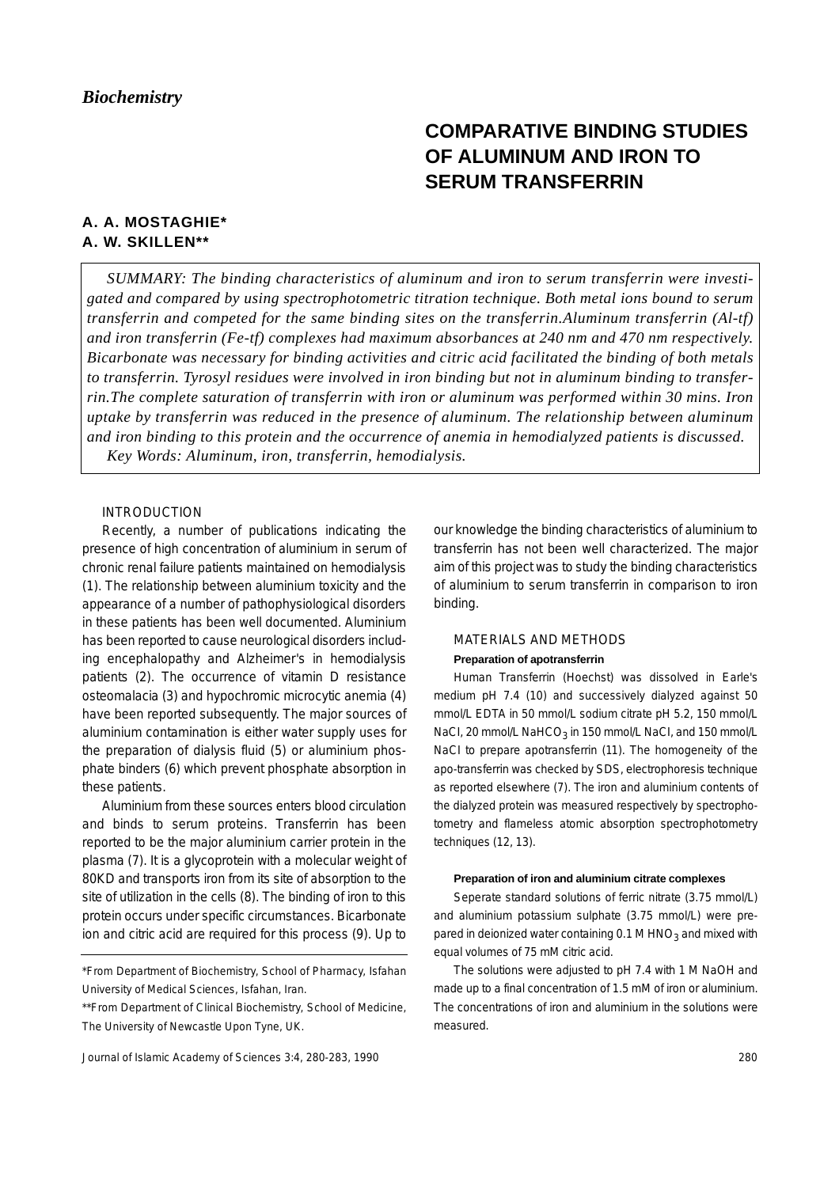# **COMPARATIVE BINDING STUDIES OF ALUMINUM AND IRON TO SERUM TRANSFERRIN**

# **A. A. MOSTAGHIE\* A. W. SKILLEN\*\***

*SUMMARY: The binding characteristics of aluminum and iron to serum transferrin were investigated and compared by using spectrophotometric titration technique. Both metal ions bound to serum transferrin and competed for the same binding sites on the transferrin.Aluminum transferrin (Al-tf) and iron transferrin (Fe-tf) complexes had maximum absorbances at 240 nm and 470 nm respectively. Bicarbonate was necessary for binding activities and citric acid facilitated the binding of both metals to transferrin. Tyrosyl residues were involved in iron binding but not in aluminum binding to transferrin.The complete saturation of transferrin with iron or aluminum was performed within 30 mins. Iron uptake by transferrin was reduced in the presence of aluminum. The relationship between aluminum and iron binding to this protein and the occurrence of anemia in hemodialyzed patients is discussed. Key Words: Aluminum, iron, transferrin, hemodialysis.* 

#### INTRODUCTION

Recently, a number of publications indicating the presence of high concentration of aluminium in serum of chronic renal failure patients maintained on hemodialysis (1). The relationship between aluminium toxicity and the appearance of a number of pathophysiological disorders in these patients has been well documented. Aluminium has been reported to cause neurological disorders including encephalopathy and Alzheimer's in hemodialysis patients (2). The occurrence of vitamin D resistance osteomalacia (3) and hypochromic microcytic anemia (4) have been reported subsequently. The major sources of aluminium contamination is either water supply uses for the preparation of dialysis fluid (5) or aluminium phosphate binders (6) which prevent phosphate absorption in these patients.

Aluminium from these sources enters blood circulation and binds to serum proteins. Transferrin has been reported to be the major aluminium carrier protein in the plasma (7). It is a glycoprotein with a molecular weight of 80KD and transports iron from its site of absorption to the site of utilization in the cells (8). The binding of iron to this protein occurs under specific circumstances. Bicarbonate ion and citric acid are required for this process (9). Up to our knowledge the binding characteristics of aluminium to transferrin has not been well characterized. The major aim of this project was to study the binding characteristics of aluminium to serum transferrin in comparison to iron binding.

# MATERIALS AND METHODS **Preparation of apotransferrin**

Human Transferrin (Hoechst) was dissolved in Earle's medium pH 7.4 (10) and successively dialyzed against 50 mmol/L EDTA in 50 mmol/L sodium citrate pH 5.2, 150 mmol/L NaCI, 20 mmol/L NaHCO<sub>3</sub> in 150 mmol/L NaCI, and 150 mmol/L NaCI to prepare apotransferrin (11). The homogeneity of the apo-transferrin was checked by SDS, electrophoresis technique as reported elsewhere (7). The iron and aluminium contents of the dialyzed protein was measured respectively by spectrophotometry and flameless atomic absorption spectrophotometry techniques (12, 13).

#### **Preparation of iron and aluminium citrate complexes**

Seperate standard solutions of ferric nitrate (3.75 mmol/L) and aluminium potassium sulphate (3.75 mmol/L) were prepared in deionized water containing  $0.1$  M HNO<sub>3</sub> and mixed with equal volumes of 75 mM citric acid.

The solutions were adjusted to pH 7.4 with 1 M NaOH and made up to a final concentration of 1.5 mM of iron or aluminium. The concentrations of iron and aluminium in the solutions were measured.

<sup>\*</sup>From Department of Biochemistry, School of Pharmacy, Isfahan University of Medical Sciences, Isfahan, Iran.

<sup>\*\*</sup>From Department of Clinical Biochemistry, School of Medicine, The University of Newcastle Upon Tyne, UK.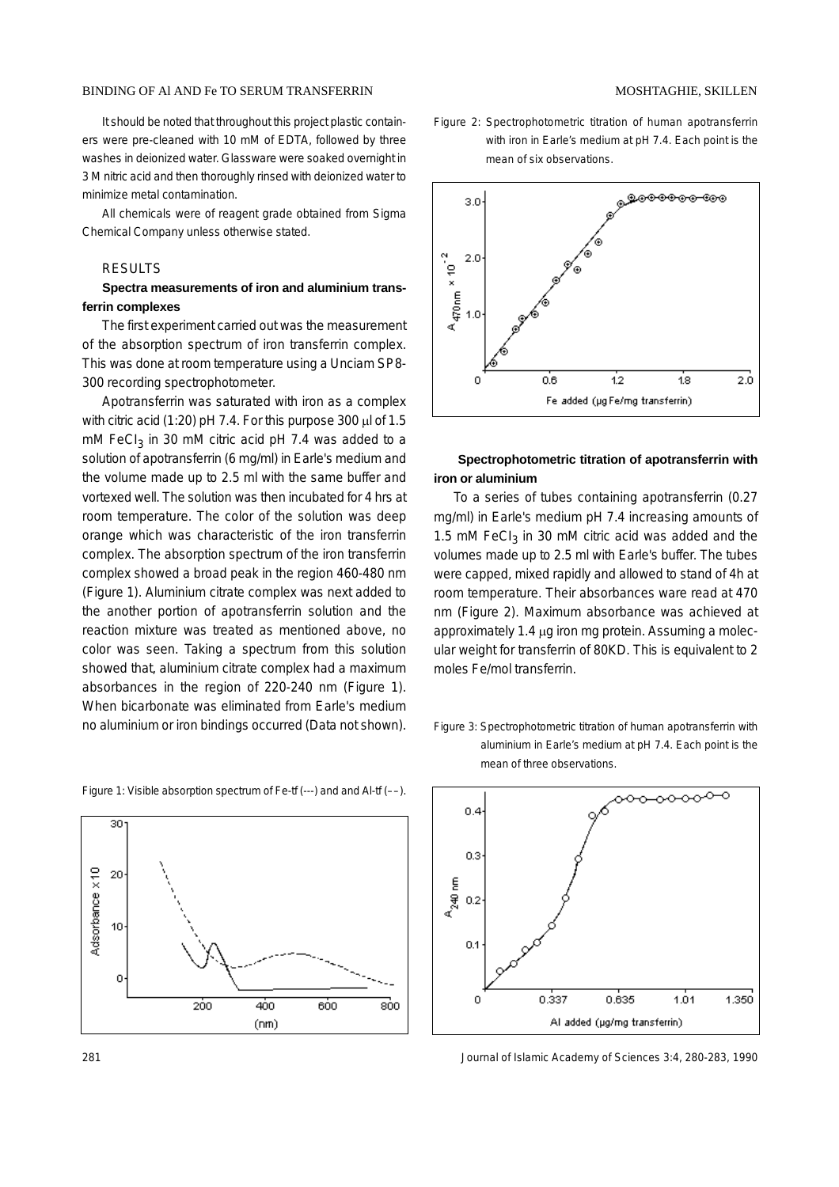It should be noted that throughout this project plastic containers were pre-cleaned with 10 mM of EDTA, followed by three washes in deionized water. Glassware were soaked overnight in 3 M nitric acid and then thoroughly rinsed with deionized water to minimize metal contamination.

All chemicals were of reagent grade obtained from Sigma Chemical Company unless otherwise stated.

### RESULTS

## **Spectra measurements of iron and aluminium transferrin complexes**

The first experiment carried out was the measurement of the absorption spectrum of iron transferrin complex. This was done at room temperature using a Unciam SP8- 300 recording spectrophotometer.

Apotransferrin was saturated with iron as a complex with citric acid (1:20) pH 7.4. For this purpose 300 µl of 1.5 mM FeC $I_3$  in 30 mM citric acid pH 7.4 was added to a solution of apotransferrin (6 mg/ml) in Earle's medium and the volume made up to 2.5 ml with the same buffer and vortexed well. The solution was then incubated for 4 hrs at room temperature. The color of the solution was deep orange which was characteristic of the iron transferrin complex. The absorption spectrum of the iron transferrin complex showed a broad peak in the region 460-480 nm (Figure 1). Aluminium citrate complex was next added to the another portion of apotransferrin solution and the reaction mixture was treated as mentioned above, no color was seen. Taking a spectrum from this solution showed that, aluminium citrate complex had a maximum absorbances in the region of 220-240 nm (Figure 1). When bicarbonate was eliminated from Earle's medium no aluminium or iron bindings occurred (Data not shown).

Figure 1: Visible absorption spectrum of Fe-tf (---) and and Al-tf (––).



- Figure 2: Spectrophotometric titration of human apotransferrin with iron in Earle's medium at pH 7.4. Each point is the
- mean of six observations. <sub>ക</sub>ള്ക്കക്കുകയും  $3.0$  $\times$  10  $^2$  $2.0$  $A_{470nm}$  $1.0$ 2.0  $0.6$  $12$ 1.8 Fe added (µg Fe/mg transferrin)

# **Spectrophotometric titration of apotransferrin with iron or aluminium**

To a series of tubes containing apotransferrin (0.27 mg/ml) in Earle's medium pH 7.4 increasing amounts of 1.5 mM FeC $I_3$  in 30 mM citric acid was added and the volumes made up to 2.5 ml with Earle's buffer. The tubes were capped, mixed rapidly and allowed to stand of 4h at room temperature. Their absorbances ware read at 470 nm (Figure 2). Maximum absorbance was achieved at approximately 1.4 µg iron mg protein. Assuming a molecular weight for transferrin of 80KD. This is equivalent to 2 moles Fe/mol transferrin.

Figure 3: Spectrophotometric titration of human apotransferrin with aluminium in Earle's medium at pH 7.4. Each point is the mean of three observations.



281 Journal of Islamic Academy of Sciences 3:4, 280-283, 1990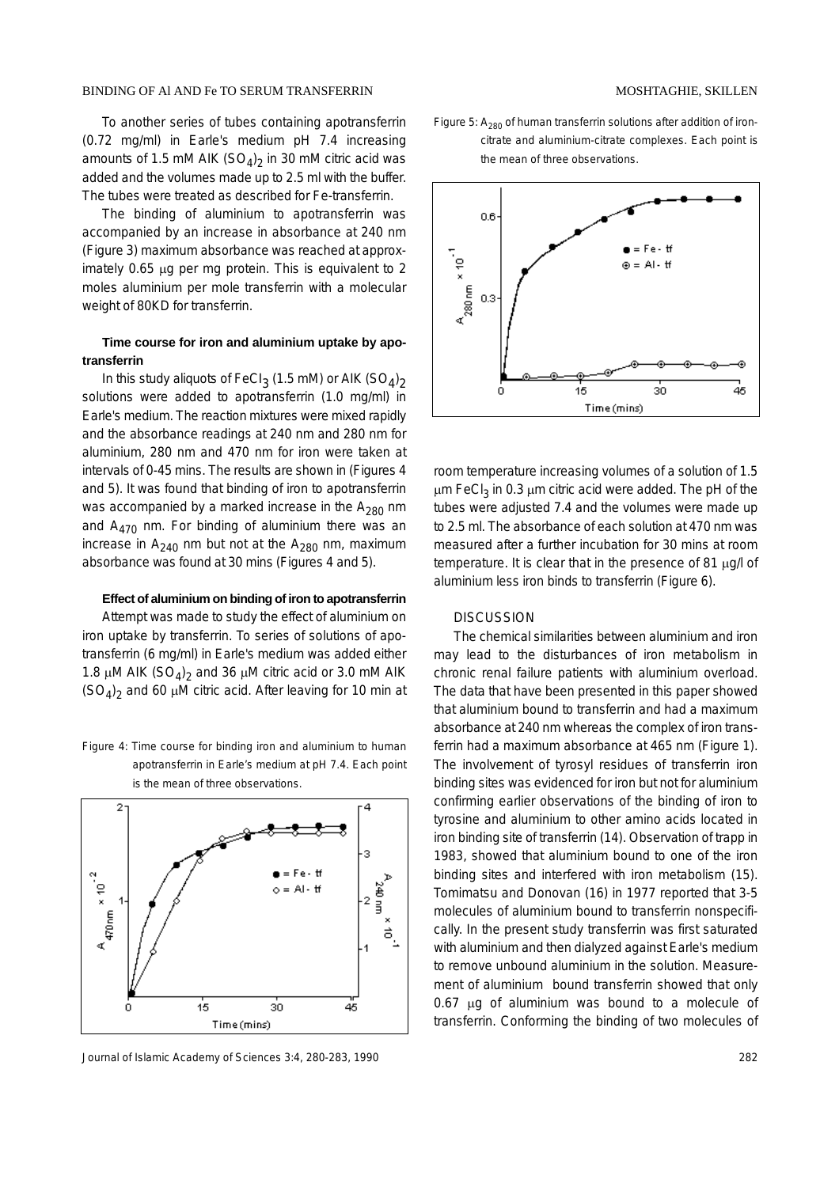To another series of tubes containing apotransferrin (0.72 mg/ml) in Earle's medium pH 7.4 increasing amounts of 1.5 mM AIK  $(SO<sub>4</sub>)<sub>2</sub>$  in 30 mM citric acid was added and the volumes made up to 2.5 ml with the buffer. The tubes were treated as described for Fe-transferrin.

The binding of aluminium to apotransferrin was accompanied by an increase in absorbance at 240 nm (Figure 3) maximum absorbance was reached at approximately 0.65 µg per mg protein. This is equivalent to 2 moles aluminium per mole transferrin with a molecular weight of 80KD for transferrin.

# **Time course for iron and aluminium uptake by apotransferrin**

In this study aliquots of FeCl $_3$  (1.5 mM) or AIK (SO $_4)_2$ solutions were added to apotransferrin (1.0 mg/ml) in Earle's medium. The reaction mixtures were mixed rapidly and the absorbance readings at 240 nm and 280 nm for aluminium, 280 nm and 470 nm for iron were taken at intervals of 0-45 mins. The results are shown in (Figures 4 and 5). It was found that binding of iron to apotransferrin was accompanied by a marked increase in the  $A_{280}$  nm and  $A_{470}$  nm. For binding of aluminium there was an increase in  $A_{240}$  nm but not at the  $A_{280}$  nm, maximum absorbance was found at 30 mins (Figures 4 and 5).

#### **Effect of aluminium on binding of iron to apotransferrin**

Attempt was made to study the effect of aluminium on iron uptake by transferrin. To series of solutions of apotransferrin (6 mg/ml) in Earle's medium was added either 1.8  $\mu$ M AIK (SO<sub>4</sub>)<sub>2</sub> and 36  $\mu$ M citric acid or 3.0 mM AIK  $(SO_4)_2$  and 60 µM citric acid. After leaving for 10 min at





Journal of Islamic Academy of Sciences 3:4, 280-283, 1990 282

#### MOSHTAGHIE, SKILLEN

Figure 5:  $A_{280}$  of human transferrin solutions after addition of ironcitrate and aluminium-citrate complexes. Each point is the mean of three observations.



room temperature increasing volumes of a solution of 1.5  $\mu$ m FeCl<sub>3</sub> in 0.3  $\mu$ m citric acid were added. The pH of the tubes were adjusted 7.4 and the volumes were made up to 2.5 ml. The absorbance of each solution at 470 nm was measured after a further incubation for 30 mins at room temperature. It is clear that in the presence of 81 µg/l of aluminium less iron binds to transferrin (Figure 6).

#### **DISCUSSION**

The chemical similarities between aluminium and iron may lead to the disturbances of iron metabolism in chronic renal failure patients with aluminium overload. The data that have been presented in this paper showed that aluminium bound to transferrin and had a maximum absorbance at 240 nm whereas the complex of iron transferrin had a maximum absorbance at 465 nm (Figure 1). The involvement of tyrosyl residues of transferrin iron binding sites was evidenced for iron but not for aluminium confirming earlier observations of the binding of iron to tyrosine and aluminium to other amino acids located in iron binding site of transferrin (14). Observation of trapp in 1983, showed that aluminium bound to one of the iron binding sites and interfered with iron metabolism (15). Tomimatsu and Donovan (16) in 1977 reported that 3-5 molecules of aluminium bound to transferrin nonspecifically. In the present study transferrin was first saturated with aluminium and then dialyzed against Earle's medium to remove unbound aluminium in the solution. Measurement of aluminium bound transferrin showed that only 0.67 µg of aluminium was bound to a molecule of transferrin. Conforming the binding of two molecules of